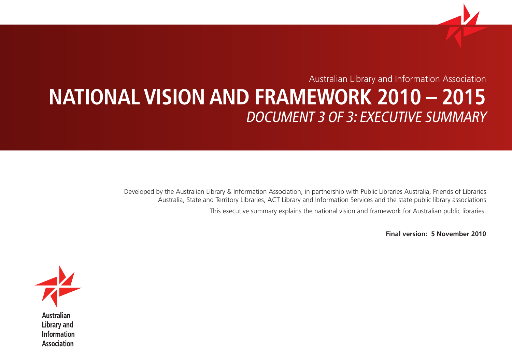

Australian Library and Information Association

# **NATIONAL VISION AND FRAMEWORK 2010 – 2015**  DOCUMENT 3 OF 3: EXECUTIVE SUMMARY

Developed by the Australian Library & Information Association, in partnership with Public Libraries Australia, Friends of Libraries Australia, State and Territory Libraries, ACT Library and Information Services and the state public library associations

This executive summary explains the national vision and framework for Australian public libraries.

**Final version: 5 November 2010**



Association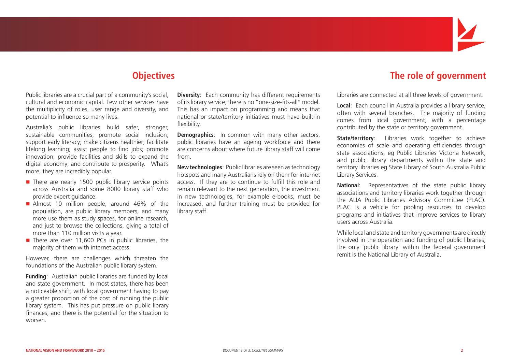

Public libraries are a crucial part of a community's social, cultural and economic capital. Few other services have the multiplicity of roles, user range and diversity, and potential to influence so many lives.

Australia's public libraries build safer, stronger, sustainable communities; promote social inclusion; support early literacy; make citizens healthier; facilitate lifelong learning; assist people to find jobs; promote innovation; provide facilities and skills to expand the digital economy; and contribute to prosperity. What's more, they are incredibly popular.

- $\blacksquare$  There are nearly 1500 public library service points across Australia and some 8000 library staff who provide expert guidance.
- Almost 10 million people, around 46% of the population, are public library members, and many more use them as study spaces, for online research, and just to browse the collections, giving a total of more than 110 million visits a year.
- $\blacksquare$  There are over 11,600 PCs in public libraries, the majority of them with internet access.

However, there are challenges which threaten the foundations of the Australian public library system.

**Funding**: Australian public libraries are funded by local and state government. In most states, there has been a noticeable shift, with local government having to pay a greater proportion of the cost of running the public library system. This has put pressure on public library finances, and there is the potential for the situation to worsen.

**Diversity:** Each community has different requirements of its library service; there is no "one-size-fits-all" model. This has an impact on programming and means that national or state/territory initiatives must have built-in flexibility.

**Demographics**: In common with many other sectors, public libraries have an ageing workforce and there are concerns about where future library staff will come from.

**New technologies**: Public libraries are seen as technology hotspots and many Australians rely on them for internet access. If they are to continue to fulfill this role and remain relevant to the next generation, the investment in new technologies, for example e-books, must be increased, and further training must be provided for library staff.

### **Objectives The role of government**

Libraries are connected at all three levels of government.

**Local**: Each council in Australia provides a library service, often with several branches. The majority of funding comes from local government, with a percentage contributed by the state or territory government.

**State/territory:** Libraries work together to achieve economies of scale and operating efficiencies through state associations, eg Public Libraries Victoria Network, and public library departments within the state and territory libraries eg State Library of South Australia Public Library Services.

**National**: Representatives of the state public library associations and territory libraries work together through the ALIA Public Libraries Advisory Committee (PLAC). PLAC is a vehicle for pooling resources to develop programs and initiatives that improve services to library users across Australia.

While local and state and territory governments are directly involved in the operation and funding of public libraries, the only 'public library' within the federal government remit is the National Library of Australia.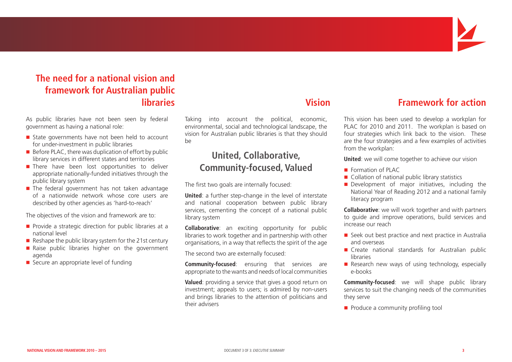

## **The need for a national vision and framework for Australian public**

As public libraries have not been seen by federal government as having a national role:

- State governments have not been held to account for under-investment in public libraries
- $\blacksquare$  Before PLAC, there was duplication of effort by public library services in different states and territories
- **There** have been lost opportunities to deliver appropriate nationally-funded initiatives through the public library system
- $\blacksquare$  The federal government has not taken advantage of a nationwide network whose core users are described by other agencies as 'hard-to-reach'

The objectives of the vision and framework are to:

- $\blacksquare$  Provide a strategic direction for public libraries at a national level
- Reshape the public library system for the 21st century
- Raise public libraries higher on the government agenda
- Secure an appropriate level of funding

Taking into account the political, economic, environmental, social and technological landscape, the vision for Australian public libraries is that they should be

## **United, Collaborative, Community-focused, Valued**

The first two goals are internally focused:

**United**: a further step-change in the level of interstate and national cooperation between public library services, cementing the concept of a national public library system

**Collaborative**: an exciting opportunity for public libraries to work together and in partnership with other organisations, in a way that reflects the spirit of the age

The second two are externally focused:

**Community-focused**: ensuring that services are appropriate to the wants and needs of local communities

**Valued**: providing a service that gives a good return on investment; appeals to users; is admired by non-users and brings libraries to the attention of politicians and their advisers

**libraries Vision Framework for action**

This vision has been used to develop a workplan for PLAC for 2010 and 2011. The workplan is based on four strategies which link back to the vision. These are the four strategies and a few examples of activities from the workplan:

**United**: we will come together to achieve our vision

- $\blacksquare$  Formation of PLAC
- $\blacksquare$  Collation of national public library statistics
- Development of major initiatives, including the National Year of Reading 2012 and a national family literacy program

**Collaborative**: we will work together and with partners to guide and improve operations, build services and increase our reach

- Seek out best practice and next practice in Australia and overseas
- **Create national standards for Australian public** libraries
- Research new ways of using technology, especially e-books

**Community-focused**: we will shape public library services to suit the changing needs of the communities they serve

**Produce a community profiling tool**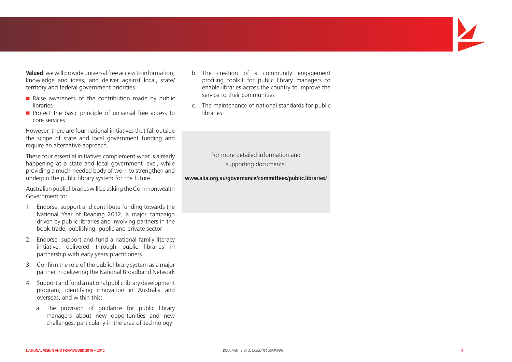**Valued**: we will provide universal free access to information, knowledge and ideas, and deliver against local, state/ territory and federal government priorities

- Raise awareness of the contribution made by public libraries
- Protect the basic principle of universal free access to core services

However, there are four national initiatives that fall outside the scope of state and local government funding and require an alternative approach.

These four essential initiatives complement what is already happening at a state and local government level, while providing a much-needed body of work to strengthen and underpin the public library system for the future.

Australian public libraries will be asking the Commonwealth Government to:

- 1. Endorse, support and contribute funding towards the National Year of Reading 2012, a major campaign driven by public libraries and involving partners in the book trade, publishing, public and private sector
- 2. Endorse, support and fund a national family literacy initiative, delivered through public libraries in partnership with early years practitioners
- 3. Confirm the role of the public library system as a major partner in delivering the National Broadband Network
- 4. Support and fund a national public library development program, identifying innovation in Australia and overseas, and within this:
	- a. The provision of guidance for public library managers about new opportunities and new challenges, particularly in the area of technology
- b. The creation of a community engagement profiling toolkit for public library managers to enable libraries across the country to improve the service to their communities
- c. The maintenance of national standards for public libraries

For more detailed information and supporting documents:

### **www.alia.org.au/governance/committees/public.libraries**/